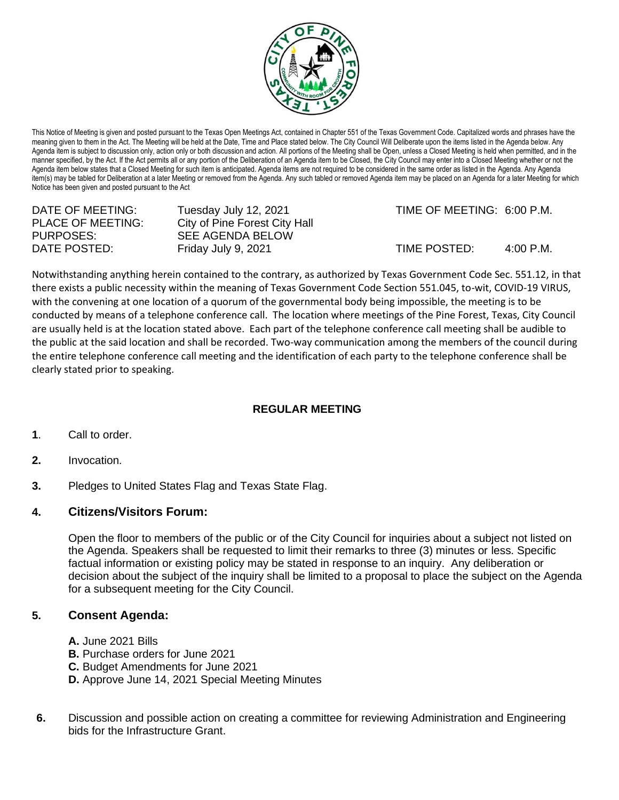

This Notice of Meeting is given and posted pursuant to the Texas Open Meetings Act, contained in Chapter 551 of the Texas Government Code. Capitalized words and phrases have the meaning given to them in the Act. The Meeting will be held at the Date, Time and Place stated below. The City Council Will Deliberate upon the items listed in the Agenda below. Any Agenda item is subject to discussion only, action only or both discussion and action. All portions of the Meeting shall be Open, unless a Closed Meeting is held when permitted, and in the manner specified, by the Act. If the Act permits all or any portion of the Deliberation of an Agenda item to be Closed, the City Council may enter into a Closed Meeting whether or not the Agenda item below states that a Closed Meeting for such item is anticipated. Agenda items are not required to be considered in the same order as listed in the Agenda. Any Agenda item(s) may be tabled for Deliberation at a later Meeting or removed from the Agenda. Any such tabled or removed Agenda item may be placed on an Agenda for a later Meeting for which Notice has been given and posted pursuant to the Act

| DATE OF MEETING:         | Tuesday July 12, 2021         |
|--------------------------|-------------------------------|
| <b>PLACE OF MEETING:</b> | City of Pine Forest City Hall |
| PURPOSES:                | <b>SEE AGENDA BELOW</b>       |
| DATE POSTED:             | Friday July 9, 2021           |

TIME OF MEETING: 6:00 P.M.

 $TIME$  POSTED:  $4:00$  P.M.

Notwithstanding anything herein contained to the contrary, as authorized by Texas Government Code Sec. 551.12, in that there exists a public necessity within the meaning of Texas Government Code Section 551.045, to-wit, COVID-19 VIRUS, with the convening at one location of a quorum of the governmental body being impossible, the meeting is to be conducted by means of a telephone conference call. The location where meetings of the Pine Forest, Texas, City Council are usually held is at the location stated above. Each part of the telephone conference call meeting shall be audible to the public at the said location and shall be recorded. Two-way communication among the members of the council during the entire telephone conference call meeting and the identification of each party to the telephone conference shall be clearly stated prior to speaking.

## **REGULAR MEETING**

- **1**. Call to order.
- **2.** Invocation.
- **3.** Pledges to United States Flag and Texas State Flag.

## **4. Citizens/Visitors Forum:**

Open the floor to members of the public or of the City Council for inquiries about a subject not listed on the Agenda. Speakers shall be requested to limit their remarks to three (3) minutes or less. Specific factual information or existing policy may be stated in response to an inquiry. Any deliberation or decision about the subject of the inquiry shall be limited to a proposal to place the subject on the Agenda for a subsequent meeting for the City Council.

## **5. Consent Agenda:**

- **A.** June 2021 Bills
- **B.** Purchase orders for June 2021
- **C.** Budget Amendments for June 2021
- **D.** Approve June 14, 2021 Special Meeting Minutes
- **6.** Discussion and possible action on creating a committee for reviewing Administration and Engineering bids for the Infrastructure Grant.